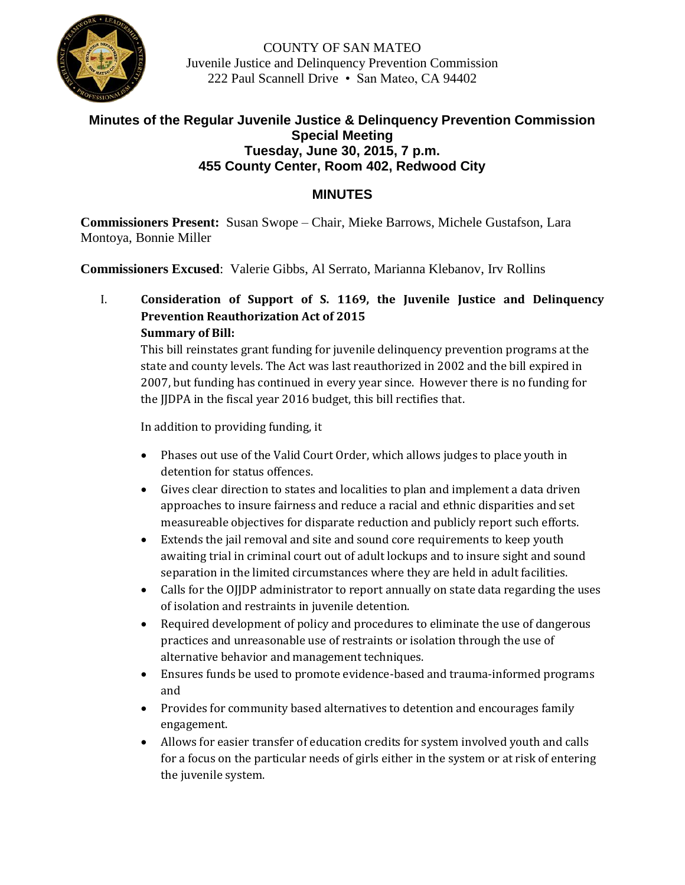

COUNTY OF SAN MATEO Juvenile Justice and Delinquency Prevention Commission 222 Paul Scannell Drive • San Mateo, CA 94402

## **Minutes of the Regular Juvenile Justice & Delinquency Prevention Commission Special Meeting Tuesday, June 30, 2015, 7 p.m. 455 County Center, Room 402, Redwood City**

## **MINUTES**

**Commissioners Present:** Susan Swope – Chair, Mieke Barrows, Michele Gustafson, Lara Montoya, Bonnie Miller

**Commissioners Excused**: Valerie Gibbs, Al Serrato, Marianna Klebanov, Irv Rollins

I. **Consideration of Support of S. 1169, the Juvenile Justice and Delinquency Prevention Reauthorization Act of 2015 Summary of Bill:**

This bill reinstates grant funding for juvenile delinquency prevention programs at the state and county levels. The Act was last reauthorized in 2002 and the bill expired in 2007, but funding has continued in every year since. However there is no funding for the JJDPA in the fiscal year 2016 budget, this bill rectifies that.

In addition to providing funding, it

- Phases out use of the Valid Court Order, which allows judges to place youth in detention for status offences.
- Gives clear direction to states and localities to plan and implement a data driven approaches to insure fairness and reduce a racial and ethnic disparities and set measureable objectives for disparate reduction and publicly report such efforts.
- Extends the jail removal and site and sound core requirements to keep youth awaiting trial in criminal court out of adult lockups and to insure sight and sound separation in the limited circumstances where they are held in adult facilities.
- Calls for the OJJDP administrator to report annually on state data regarding the uses of isolation and restraints in juvenile detention.
- Required development of policy and procedures to eliminate the use of dangerous practices and unreasonable use of restraints or isolation through the use of alternative behavior and management techniques.
- Ensures funds be used to promote evidence-based and trauma-informed programs and
- Provides for community based alternatives to detention and encourages family engagement.
- Allows for easier transfer of education credits for system involved youth and calls for a focus on the particular needs of girls either in the system or at risk of entering the juvenile system.